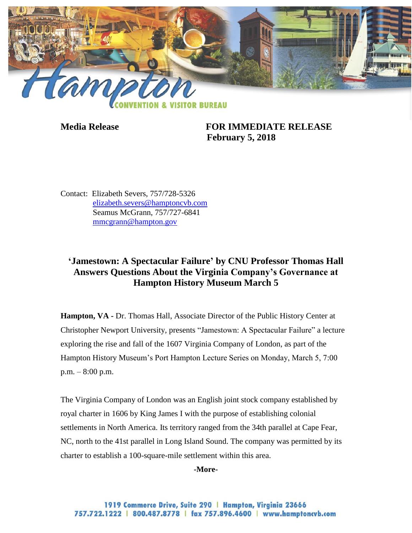

**Media Release FOR IMMEDIATE RELEASE February 5, 2018**

Contact: Elizabeth Severs, 757/728-5326 [elizabeth.severs@hamptoncvb.com](mailto:elizabeth.severs@hamptoncvb.com) Seamus McGrann, 757/727-6841 [mmcgrann@hampton.gov](mailto:mmcgrann@hampton.gov)

# **'Jamestown: A Spectacular Failure' by CNU Professor Thomas Hall Answers Questions About the Virginia Company's Governance at Hampton History Museum March 5**

**Hampton, VA -** Dr. Thomas Hall, Associate Director of the Public History Center at Christopher Newport University, presents "Jamestown: A Spectacular Failure" a lecture exploring the rise and fall of the 1607 Virginia Company of London, as part of the Hampton History Museum's Port Hampton Lecture Series on Monday, March 5, 7:00 p.m. – 8:00 p.m.

The Virginia Company of London was an English joint stock company established by royal charter in 1606 by King James I with the purpose of establishing colonial settlements in North America. Its territory ranged from the 34th parallel at Cape Fear, NC, north to the 41st parallel in Long Island Sound. The company was permitted by its charter to establish a 100-square-mile settlement within this area.

#### **-More-**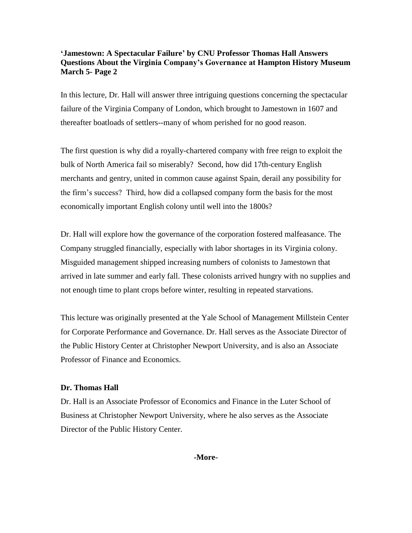## **'Jamestown: A Spectacular Failure' by CNU Professor Thomas Hall Answers Questions About the Virginia Company's Governance at Hampton History Museum March 5- Page 2**

In this lecture, Dr. Hall will answer three intriguing questions concerning the spectacular failure of the Virginia Company of London, which brought to Jamestown in 1607 and thereafter boatloads of settlers--many of whom perished for no good reason.

The first question is why did a royally-chartered company with free reign to exploit the bulk of North America fail so miserably? Second, how did 17th-century English merchants and gentry, united in common cause against Spain, derail any possibility for the firm's success? Third, how did a collapsed company form the basis for the most economically important English colony until well into the 1800s?

Dr. Hall will explore how the governance of the corporation fostered malfeasance. The Company struggled financially, especially with labor shortages in its Virginia colony. Misguided management shipped increasing numbers of colonists to Jamestown that arrived in late summer and early fall. These colonists arrived hungry with no supplies and not enough time to plant crops before winter, resulting in repeated starvations.

This lecture was originally presented at the Yale School of Management Millstein Center for Corporate Performance and Governance. Dr. Hall serves as the Associate Director of the Public History Center at Christopher Newport University, and is also an Associate Professor of Finance and Economics.

### **Dr. Thomas Hall**

Dr. Hall is an Associate Professor of Economics and Finance in the Luter School of Business at Christopher Newport University, where he also serves as the Associate Director of the Public History Center.

**-More-**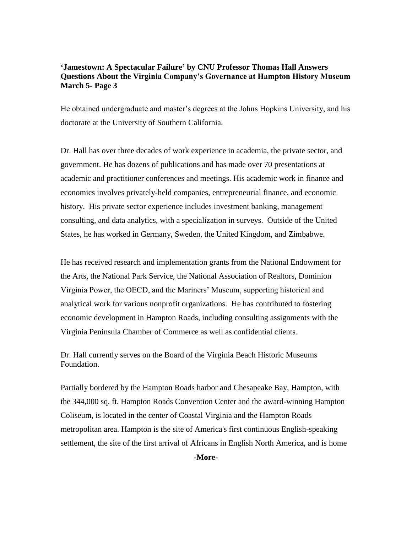## **'Jamestown: A Spectacular Failure' by CNU Professor Thomas Hall Answers Questions About the Virginia Company's Governance at Hampton History Museum March 5- Page 3**

He obtained undergraduate and master's degrees at the Johns Hopkins University, and his doctorate at the University of Southern California.

Dr. Hall has over three decades of work experience in academia, the private sector, and government. He has dozens of publications and has made over 70 presentations at academic and practitioner conferences and meetings. His academic work in finance and economics involves privately-held companies, entrepreneurial finance, and economic history. His private sector experience includes investment banking, management consulting, and data analytics, with a specialization in surveys. Outside of the United States, he has worked in Germany, Sweden, the United Kingdom, and Zimbabwe.

He has received research and implementation grants from the National Endowment for the Arts, the National Park Service, the National Association of Realtors, Dominion Virginia Power, the OECD, and the Mariners' Museum, supporting historical and analytical work for various nonprofit organizations. He has contributed to fostering economic development in Hampton Roads, including consulting assignments with the Virginia Peninsula Chamber of Commerce as well as confidential clients.

Dr. Hall currently serves on the Board of the Virginia Beach Historic Museums Foundation.

Partially bordered by the Hampton Roads harbor and Chesapeake Bay, Hampton, with the 344,000 sq. ft. Hampton Roads Convention Center and the award-winning Hampton Coliseum, is located in the center of Coastal Virginia and the Hampton Roads metropolitan area. Hampton is the site of America's first continuous English-speaking settlement, the site of the first arrival of Africans in English North America, and is home

**-More-**